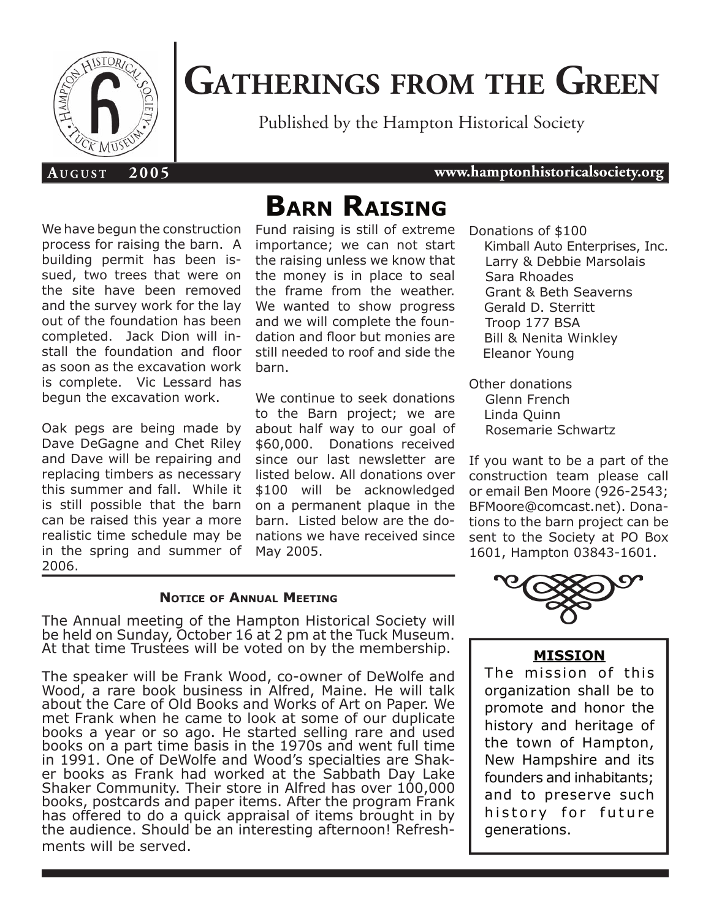

# **GATHERINGS FROM THE GREEN**

Published by the Hampton Historical Society

#### **A U G U S T 2 0 0 5 www.hamptonhistoricalsociety.org**

We have begun the construction process for raising the barn. A building permit has been issued, two trees that were on the site have been removed and the survey work for the lay out of the foundation has been completed. Jack Dion will install the foundation and floor as soon as the excavation work is complete. Vic Lessard has begun the excavation work.

Oak pegs are being made by Dave DeGagne and Chet Riley and Dave will be repairing and replacing timbers as necessary this summer and fall. While it is still possible that the barn can be raised this year a more realistic time schedule may be in the spring and summer of 2006.

# **BARN RAISING**

Fund raising is still of extreme importance; we can not start the raising unless we know that the money is in place to seal the frame from the weather. We wanted to show progress and we will complete the foundation and floor but monies are still needed to roof and side the barn.

We continue to seek donations to the Barn project; we are about half way to our goal of \$60,000. Donations received since our last newsletter are listed below. All donations over \$100 will be acknowledged on a permanent plaque in the barn. Listed below are the donations we have received since May 2005.

#### **NOTICE OF ANNUAL MEETING**

The Annual meeting of the Hampton Historical Society will be held on Sunday, October 16 at 2 pm at the Tuck Museum. At that time Trustees will be voted on by the membership.

The speaker will be Frank Wood, co-owner of DeWolfe and Wood, a rare book business in Alfred, Maine. He will talk about the Care of Old Books and Works of Art on Paper. We met Frank when he came to look at some of our duplicate books a year or so ago. He started selling rare and used books on a part time basis in the 1970s and went full time in 1991. One of DeWolfe and Wood's specialties are Shaker books as Frank had worked at the Sabbath Day Lake Shaker Community. Their store in Alfred has over 100,000 books, postcards and paper items. After the program Frank has offered to do a quick appraisal of items brought in by the audience. Should be an interesting afternoon! Refreshments will be served.

Donations of \$100 Kimball Auto Enterprises, Inc. Larry & Debbie Marsolais Sara Rhoades Grant & Beth Seaverns Gerald D. Sterritt Troop 177 BSA Bill & Nenita Winkley Eleanor Young

Other donations Glenn French Linda Quinn Rosemarie Schwartz

If you want to be a part of the construction team please call or email Ben Moore (926-2543; BFMoore@comcast.net). Donations to the barn project can be sent to the Society at PO Box 1601, Hampton 03843-1601.



#### **MISSION**

The mission of this organization shall be to promote and honor the history and heritage of the town of Hampton, New Hampshire and its founders and inhabitants; and to preserve such history for future generations.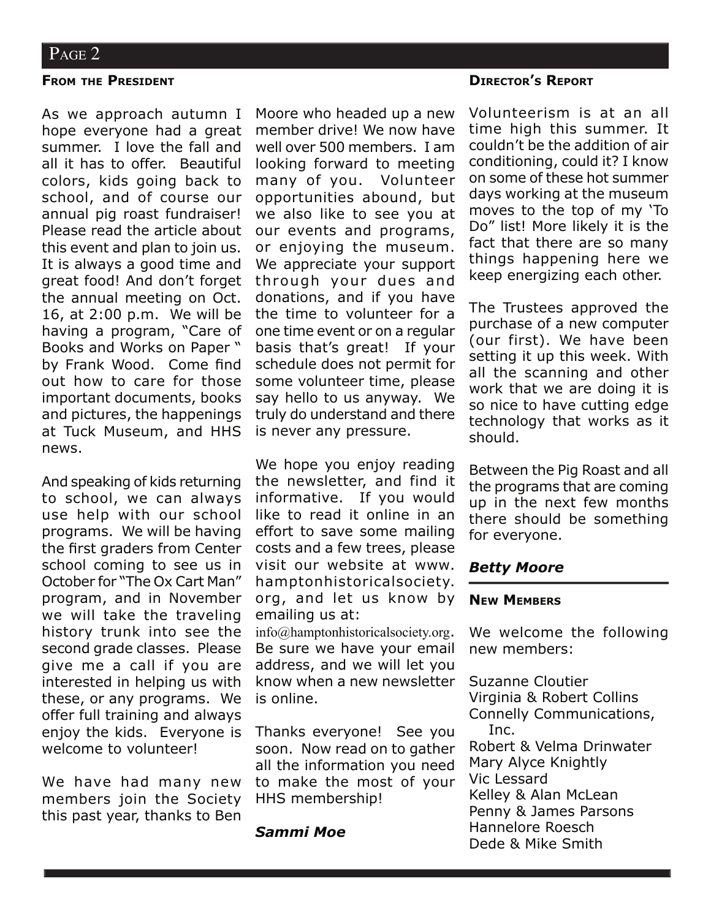#### **FROM THE PRESIDENT**

As we approach autumn I hope everyone had a great summer. I love the fall and all it has to offer. Beautiful colors, kids going back to school, and of course our annual pig roast fundraiser! Please read the article about this event and plan to join us. It is always a good time and great food! And don't forget the annual meeting on Oct. 16, at 2:00 p.m. We will be having a program, "Care of Books and Works on Paper " by Frank Wood. Come find out how to care for those important documents, books and pictures, the happenings at Tuck Museum, and HHS news.

And speaking of kids returning to school, we can always use help with our school programs. We will be having the first graders from Center school coming to see us in October for "The Ox Cart Man" program, and in November we will take the traveling history trunk into see the second grade classes. Please give me a call if you are interested in helping us with these, or any programs. We offer full training and always enjoy the kids. Everyone is welcome to volunteer!

We have had many new members join the Society this past year, thanks to Ben Moore who headed up a new member drive! We now have well over 500 members. I am looking forward to meeting many of you. Volunteer opportunities abound, but we also like to see you at our events and programs, or enjoying the museum. We appreciate your support through your dues and donations, and if you have the time to volunteer for a one time event or on a regular basis that's great! If your schedule does not permit for some volunteer time, please say hello to us anyway. We truly do understand and there is never any pressure.

We hope you enjoy reading the newsletter, and find it informative. If you would like to read it online in an effort to save some mailing costs and a few trees, please visit our website at www. hamptonhistoricalsociety. org, and let us know by emailing us at:

info@hamptonhistoricalsociety.org. Be sure we have your email address, and we will let you know when a new newsletter is online.

Thanks everyone! See you soon. Now read on to gather all the information you need to make the most of your HHS membership!

#### *Sammi Moe*

#### **DIRECTOR'S REPORT**

Volunteerism is at an all time high this summer. It couldn't be the addition of air conditioning, could it? I know on some of these hot summer days working at the museum moves to the top of my 'To Do" list! More likely it is the fact that there are so many things happening here we keep energizing each other.

The Trustees approved the purchase of a new computer (our first). We have been setting it up this week. With all the scanning and other work that we are doing it is so nice to have cutting edge technology that works as it should.

Between the Pig Roast and all the programs that are coming up in the next few months there should be something for everyone.

#### *Betty Moore*

#### **NEW MEMBERS**

We welcome the following new members:

Suzanne Cloutier Virginia & Robert Collins Connelly Communications, Inc. Robert & Velma Drinwater Mary Alyce Knightly Vic Lessard Kelley & Alan McLean Penny & James Parsons Hannelore Roesch Dede & Mike Smith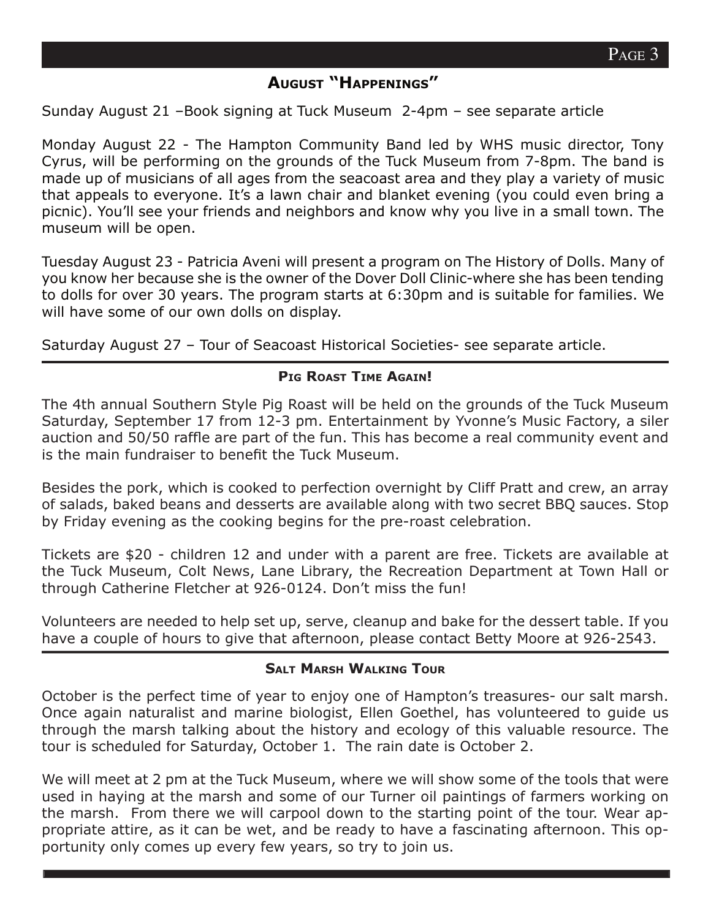### **AUGUST "HAPPENINGS"**

Sunday August 21 –Book signing at Tuck Museum 2-4pm – see separate article

Monday August 22 - The Hampton Community Band led by WHS music director, Tony Cyrus, will be performing on the grounds of the Tuck Museum from 7-8pm. The band is made up of musicians of all ages from the seacoast area and they play a variety of music that appeals to everyone. It's a lawn chair and blanket evening (you could even bring a picnic). You'll see your friends and neighbors and know why you live in a small town. The museum will be open.

Tuesday August 23 - Patricia Aveni will present a program on The History of Dolls. Many of you know her because she is the owner of the Dover Doll Clinic-where she has been tending to dolls for over 30 years. The program starts at 6:30pm and is suitable for families. We will have some of our own dolls on display.

Saturday August 27 – Tour of Seacoast Historical Societies- see separate article.

#### **PIG ROAST TIME AGAIN!**

The 4th annual Southern Style Pig Roast will be held on the grounds of the Tuck Museum Saturday, September 17 from 12-3 pm. Entertainment by Yvonne's Music Factory, a siler auction and 50/50 raffle are part of the fun. This has become a real community event and is the main fundraiser to benefit the Tuck Museum.

Besides the pork, which is cooked to perfection overnight by Cliff Pratt and crew, an array of salads, baked beans and desserts are available along with two secret BBQ sauces. Stop by Friday evening as the cooking begins for the pre-roast celebration.

Tickets are \$20 - children 12 and under with a parent are free. Tickets are available at the Tuck Museum, Colt News, Lane Library, the Recreation Department at Town Hall or through Catherine Fletcher at 926-0124. Don't miss the fun!

Volunteers are needed to help set up, serve, cleanup and bake for the dessert table. If you have a couple of hours to give that afternoon, please contact Betty Moore at 926-2543.

#### **SALT MARSH WALKING TOUR**

October is the perfect time of year to enjoy one of Hampton's treasures- our salt marsh. Once again naturalist and marine biologist, Ellen Goethel, has volunteered to guide us through the marsh talking about the history and ecology of this valuable resource. The tour is scheduled for Saturday, October 1. The rain date is October 2.

We will meet at 2 pm at the Tuck Museum, where we will show some of the tools that were used in haying at the marsh and some of our Turner oil paintings of farmers working on the marsh. From there we will carpool down to the starting point of the tour. Wear appropriate attire, as it can be wet, and be ready to have a fascinating afternoon. This opportunity only comes up every few years, so try to join us.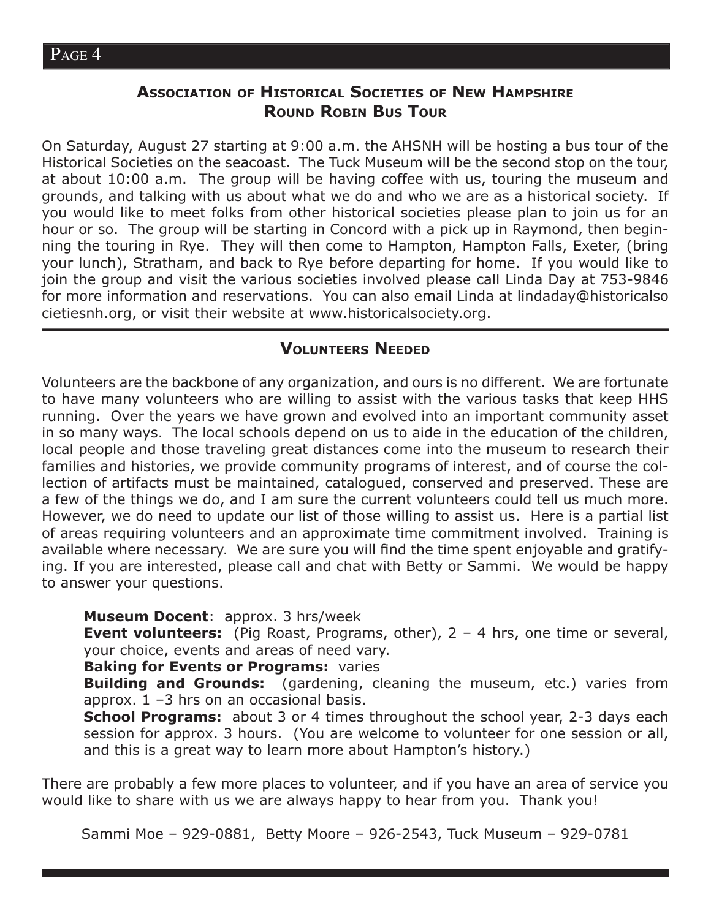# **ASSOCIATION OF HISTORICAL SOCIETIES OF NEW HAMPSHIRE ROUND ROBIN BUS TOUR**

On Saturday, August 27 starting at 9:00 a.m. the AHSNH will be hosting a bus tour of the Historical Societies on the seacoast. The Tuck Museum will be the second stop on the tour, at about 10:00 a.m. The group will be having coffee with us, touring the museum and grounds, and talking with us about what we do and who we are as a historical society. If you would like to meet folks from other historical societies please plan to join us for an hour or so. The group will be starting in Concord with a pick up in Raymond, then beginning the touring in Rye. They will then come to Hampton, Hampton Falls, Exeter, (bring your lunch), Stratham, and back to Rye before departing for home. If you would like to join the group and visit the various societies involved please call Linda Day at 753-9846 for more information and reservations. You can also email Linda at lindaday@historicalso cietiesnh.org, or visit their website at www.historicalsociety.org.

#### **VOLUNTEERS NEEDED**

Volunteers are the backbone of any organization, and ours is no different. We are fortunate to have many volunteers who are willing to assist with the various tasks that keep HHS running. Over the years we have grown and evolved into an important community asset in so many ways. The local schools depend on us to aide in the education of the children, local people and those traveling great distances come into the museum to research their families and histories, we provide community programs of interest, and of course the collection of artifacts must be maintained, catalogued, conserved and preserved. These are a few of the things we do, and I am sure the current volunteers could tell us much more. However, we do need to update our list of those willing to assist us. Here is a partial list of areas requiring volunteers and an approximate time commitment involved. Training is available where necessary. We are sure you will find the time spent enjoyable and gratifying. If you are interested, please call and chat with Betty or Sammi. We would be happy to answer your questions.

**Museum Docent**: approx. 3 hrs/week

**Event volunteers:** (Pig Roast, Programs, other), 2 – 4 hrs, one time or several, your choice, events and areas of need vary.

**Baking for Events or Programs: varies** 

**Building and Grounds:** (gardening, cleaning the museum, etc.) varies from approx.  $1 - 3$  hrs on an occasional basis.

**School Programs:** about 3 or 4 times throughout the school year, 2-3 days each session for approx. 3 hours. (You are welcome to volunteer for one session or all, and this is a great way to learn more about Hampton's history.)

There are probably a few more places to volunteer, and if you have an area of service you would like to share with us we are always happy to hear from you. Thank you!

Sammi Moe – 929-0881, Betty Moore – 926-2543, Tuck Museum – 929-0781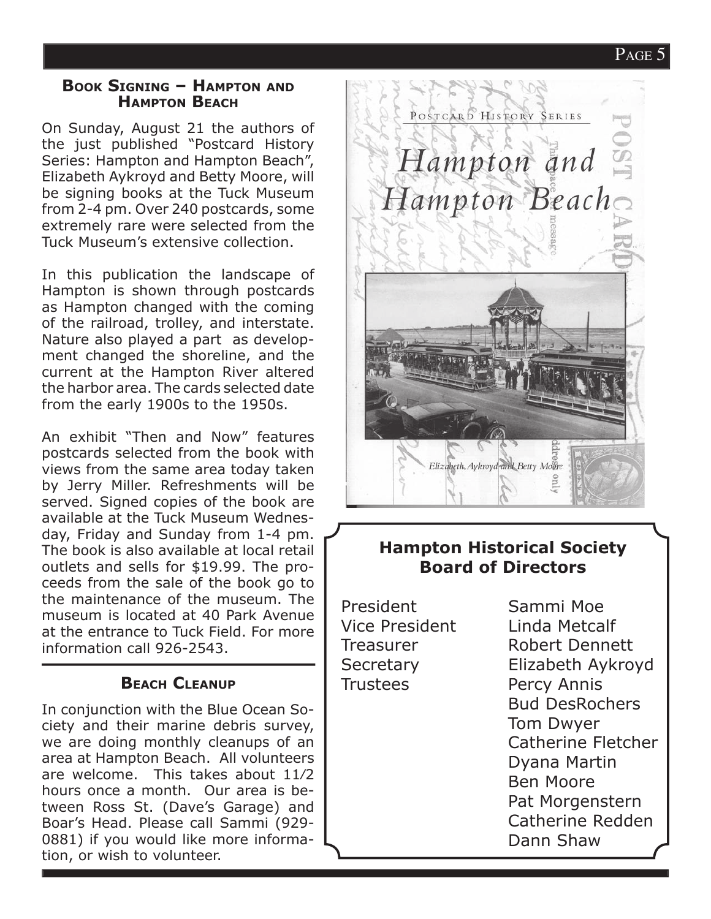# PAGE 5

#### **BOOK SIGNING – HAMPTON AND HAMPTON BEACH**

On Sunday, August 21 the authors of the just published "Postcard History Series: Hampton and Hampton Beach", Elizabeth Aykroyd and Betty Moore, will be signing books at the Tuck Museum from 2-4 pm. Over 240 postcards, some extremely rare were selected from the Tuck Museum's extensive collection.

In this publication the landscape of Hampton is shown through postcards as Hampton changed with the coming of the railroad, trolley, and interstate. Nature also played a part as development changed the shoreline, and the current at the Hampton River altered the harbor area. The cards selected date from the early 1900s to the 1950s.

An exhibit "Then and Now" features postcards selected from the book with views from the same area today taken by Jerry Miller. Refreshments will be served. Signed copies of the book are available at the Tuck Museum Wednesday, Friday and Sunday from 1-4 pm. The book is also available at local retail outlets and sells for \$19.99. The proceeds from the sale of the book go to the maintenance of the museum. The museum is located at 40 Park Avenue at the entrance to Tuck Field. For more information call 926-2543.

# **BEACH CLEANUP**

In conjunction with the Blue Ocean Society and their marine debris survey, we are doing monthly cleanups of an area at Hampton Beach. All volunteers are welcome. This takes about 11⁄2 hours once a month. Our area is between Ross St. (Dave's Garage) and Boar's Head. Please call Sammi (929- 0881) if you would like more information, or wish to volunteer.



# **Hampton Historical Society Board of Directors**

President Sammi Moe Trustees Percy Annis

Vice President Linda Metcalf Treasurer Robert Dennett Secretary Elizabeth Aykroyd Bud DesRochers Tom Dwyer Catherine Fletcher Dyana Martin Ben Moore Pat Morgenstern Catherine Redden Dann Shaw